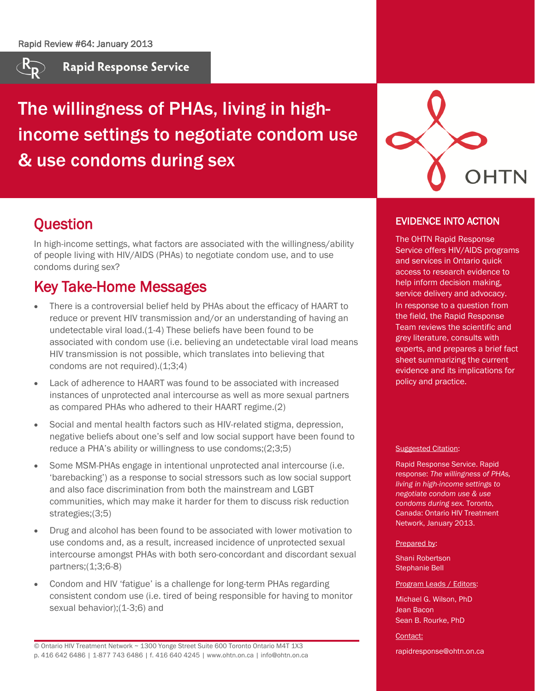

**Rapid Response Service** 

The willingness of PHAs, living in highincome settings to negotiate condom use & use condoms during sex



# **Ouestion**

In high-income settings, what factors are associated with the willingness/ability of people living with HIV/AIDS (PHAs) to negotiate condom use, and to use condoms during sex?

# Key Take-Home Messages

- There is a controversial belief held by PHAs about the efficacy of HAART to reduce or prevent HIV transmission and/or an understanding of having an undetectable viral load.(1-4) These beliefs have been found to be associated with condom use (i.e. believing an undetectable viral load means HIV transmission is not possible, which translates into believing that condoms are not required).(1;3;4)
- Lack of adherence to HAART was found to be associated with increased instances of unprotected anal intercourse as well as more sexual partners as compared PHAs who adhered to their HAART regime.(2)
- Social and mental health factors such as HIV-related stigma, depression, negative beliefs about one's self and low social support have been found to reduce a PHA's ability or willingness to use condoms;(2;3;5)
- Some MSM-PHAs engage in intentional unprotected anal intercourse (i.e. 'barebacking') as a response to social stressors such as low social support and also face discrimination from both the mainstream and LGBT communities, which may make it harder for them to discuss risk reduction strategies;(3;5)
- Drug and alcohol has been found to be associated with lower motivation to use condoms and, as a result, increased incidence of unprotected sexual intercourse amongst PHAs with both sero-concordant and discordant sexual partners;(1;3;6-8)
- Condom and HIV 'fatigue' is a challenge for long-term PHAs regarding consistent condom use (i.e. tired of being responsible for having to monitor sexual behavior);(1-3;6) and

© Ontario HIV Treatment Network ~ 1300 Yonge Street Suite 600 Toronto Ontario M4T 1X3 p. 416 642 6486 | 1-877 743 6486 | f. 416 640 4245 | www.ohtn.on.ca | info@ohtn.on.ca

### EVIDENCE INTO ACTION

The OHTN Rapid Response Service offers HIV/AIDS programs and services in Ontario quick access to research evidence to help inform decision making, service delivery and advocacy. In response to a question from the field, the Rapid Response Team reviews the scientific and grey literature, consults with experts, and prepares a brief fact sheet summarizing the current evidence and its implications for policy and practice.

### Suggested Citation:

Rapid Response Service. Rapid response: *The willingness of PHAs, living in high-income settings to negotiate condom use & use condoms during sex.* Toronto, Canada: Ontario HIV Treatment Network, January 2013.

#### Prepared by:

Shani Robertson Stephanie Bell

#### Program Leads / Editors:

Michael G. Wilson, PhD Jean Bacon Sean B. Rourke, PhD

Contact:

rapidresponse@ohtn.on.ca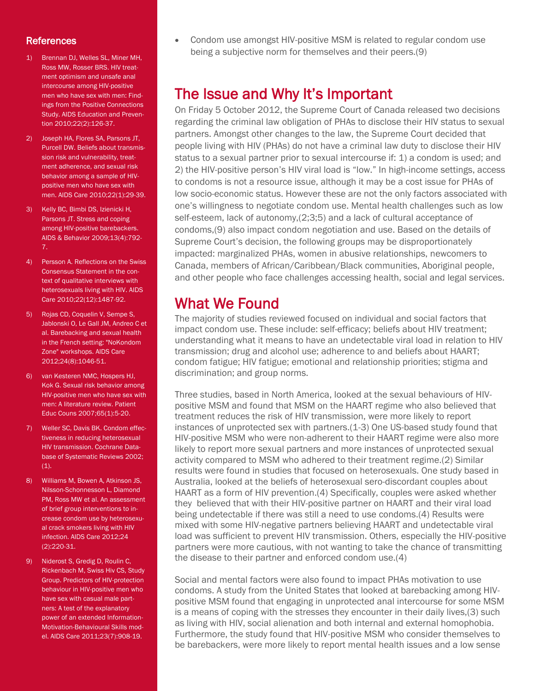### **References**

- 1) Brennan DJ, Welles SL, Miner MH, Ross MW, Rosser BRS. HIV treatment optimism and unsafe anal intercourse among HIV-positive men who have sex with men: Findings from the Positive Connections Study. AIDS Education and Prevention 2010;22(2):126-37.
- 2) Joseph HA, Flores SA, Parsons JT, Purcell DW. Beliefs about transmission risk and vulnerability, treatment adherence, and sexual risk behavior among a sample of HIVpositive men who have sex with men. AIDS Care 2010;22(1):29-39.
- 3) Kelly BC, Bimbi DS, Izienicki H, Parsons JT. Stress and coping among HIV-positive barebackers. AIDS & Behavior 2009;13(4):792- 7.
- 4) Persson A. Reflections on the Swiss Consensus Statement in the context of qualitative interviews with heterosexuals living with HIV. AIDS Care 2010;22(12):1487-92.
- 5) Rojas CD, Coquelin V, Sempe S, Jablonski O, Le Gall JM, Andreo C et al. Barebacking and sexual health in the French setting: "NoKondom Zone" workshops. AIDS Care 2012;24(8):1046-51.
- 6) van Kesteren NMC, Hospers HJ, Kok G. Sexual risk behavior among HIV-positive men who have sex with men: A literature review. Patient Educ Couns 2007;65(1):5-20.
- 7) Weller SC, Davis BK. Condom effectiveness in reducing heterosexual HIV transmission. Cochrane Database of Systematic Reviews 2002;  $(1).$
- 8) Williams M, Bowen A, Atkinson JS, Nilsson-Schonnesson L, Diamond PM, Ross MW et al. An assessment of brief group interventions to increase condom use by heterosexual crack smokers living with HIV infection. AIDS Care 2012;24 (2):220-31.
- 9) Niderost S, Gredig D, Roulin C, Rickenbach M, Swiss Hiv CS, Study Group. Predictors of HIV-protection behaviour in HIV-positive men who have sex with casual male partners: A test of the explanatory power of an extended Information-Motivation-Behavioural Skills model. AIDS Care 2011;23(7):908-19.

• Condom use amongst HIV-positive MSM is related to regular condom use being a subjective norm for themselves and their peers.(9)

## The Issue and Why It's Important

On Friday 5 October 2012, the Supreme Court of Canada released two decisions regarding the criminal law obligation of PHAs to disclose their HIV status to sexual partners. Amongst other changes to the law, the Supreme Court decided that people living with HIV (PHAs) do not have a criminal law duty to disclose their HIV status to a sexual partner prior to sexual intercourse if: 1) a condom is used; and 2) the HIV-positive person's HIV viral load is "low." In high-income settings, access to condoms is not a resource issue, although it may be a cost issue for PHAs of low socio-economic status. However these are not the only factors associated with one's willingness to negotiate condom use. Mental health challenges such as low self-esteem, lack of autonomy,(2;3;5) and a lack of cultural acceptance of condoms,(9) also impact condom negotiation and use. Based on the details of Supreme Court's decision, the following groups may be disproportionately impacted: marginalized PHAs, women in abusive relationships, newcomers to Canada, members of African/Caribbean/Black communities, Aboriginal people, and other people who face challenges accessing health, social and legal services.

### What We Found

The majority of studies reviewed focused on individual and social factors that impact condom use. These include: self-efficacy; beliefs about HIV treatment; understanding what it means to have an undetectable viral load in relation to HIV transmission; drug and alcohol use; adherence to and beliefs about HAART; condom fatigue; HIV fatigue; emotional and relationship priorities; stigma and discrimination; and group norms.

Three studies, based in North America, looked at the sexual behaviours of HIVpositive MSM and found that MSM on the HAART regime who also believed that treatment reduces the risk of HIV transmission, were more likely to report instances of unprotected sex with partners.(1-3) One US-based study found that HIV-positive MSM who were non-adherent to their HAART regime were also more likely to report more sexual partners and more instances of unprotected sexual activity compared to MSM who adhered to their treatment regime.(2) Similar results were found in studies that focused on heterosexuals. One study based in Australia, looked at the beliefs of heterosexual sero-discordant couples about HAART as a form of HIV prevention.(4) Specifically, couples were asked whether they believed that with their HIV-positive partner on HAART and their viral load being undetectable if there was still a need to use condoms.(4) Results were mixed with some HIV-negative partners believing HAART and undetectable viral load was sufficient to prevent HIV transmission. Others, especially the HIV-positive partners were more cautious, with not wanting to take the chance of transmitting the disease to their partner and enforced condom use.(4)

Social and mental factors were also found to impact PHAs motivation to use condoms. A study from the United States that looked at barebacking among HIVpositive MSM found that engaging in unprotected anal intercourse for some MSM is a means of coping with the stresses they encounter in their daily lives,(3) such as living with HIV, social alienation and both internal and external homophobia. Furthermore, the study found that HIV-positive MSM who consider themselves to be barebackers, were more likely to report mental health issues and a low sense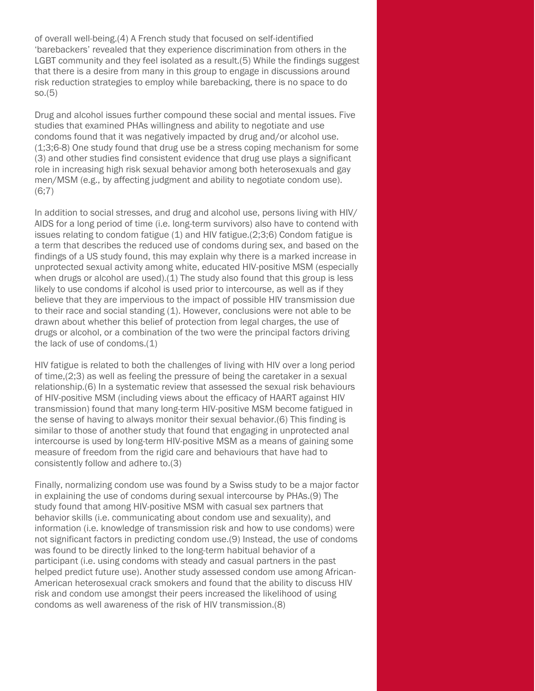of overall well-being.(4) A French study that focused on self-identified 'barebackers' revealed that they experience discrimination from others in the LGBT community and they feel isolated as a result.(5) While the findings suggest that there is a desire from many in this group to engage in discussions around risk reduction strategies to employ while barebacking, there is no space to do so.(5)

Drug and alcohol issues further compound these social and mental issues. Five studies that examined PHAs willingness and ability to negotiate and use condoms found that it was negatively impacted by drug and/or alcohol use. (1;3;6-8) One study found that drug use be a stress coping mechanism for some (3) and other studies find consistent evidence that drug use plays a significant role in increasing high risk sexual behavior among both heterosexuals and gay men/MSM (e.g., by affecting judgment and ability to negotiate condom use). (6;7)

In addition to social stresses, and drug and alcohol use, persons living with HIV/ AIDS for a long period of time (i.e. long-term survivors) also have to contend with issues relating to condom fatigue (1) and HIV fatigue.(2;3;6) Condom fatigue is a term that describes the reduced use of condoms during sex, and based on the findings of a US study found, this may explain why there is a marked increase in unprotected sexual activity among white, educated HIV-positive MSM (especially when drugs or alcohol are used).(1) The study also found that this group is less likely to use condoms if alcohol is used prior to intercourse, as well as if they believe that they are impervious to the impact of possible HIV transmission due to their race and social standing (1). However, conclusions were not able to be drawn about whether this belief of protection from legal charges, the use of drugs or alcohol, or a combination of the two were the principal factors driving the lack of use of condoms.(1)

HIV fatigue is related to both the challenges of living with HIV over a long period of time,(2;3) as well as feeling the pressure of being the caretaker in a sexual relationship.(6) In a systematic review that assessed the sexual risk behaviours of HIV-positive MSM (including views about the efficacy of HAART against HIV transmission) found that many long-term HIV-positive MSM become fatigued in the sense of having to always monitor their sexual behavior.(6) This finding is similar to those of another study that found that engaging in unprotected anal intercourse is used by long-term HIV-positive MSM as a means of gaining some measure of freedom from the rigid care and behaviours that have had to consistently follow and adhere to.(3)

Finally, normalizing condom use was found by a Swiss study to be a major factor in explaining the use of condoms during sexual intercourse by PHAs.(9) The study found that among HIV-positive MSM with casual sex partners that behavior skills (i.e. communicating about condom use and sexuality), and information (i.e. knowledge of transmission risk and how to use condoms) were not significant factors in predicting condom use.(9) Instead, the use of condoms was found to be directly linked to the long-term habitual behavior of a participant (i.e. using condoms with steady and casual partners in the past helped predict future use). Another study assessed condom use among African-American heterosexual crack smokers and found that the ability to discuss HIV risk and condom use amongst their peers increased the likelihood of using condoms as well awareness of the risk of HIV transmission.(8)